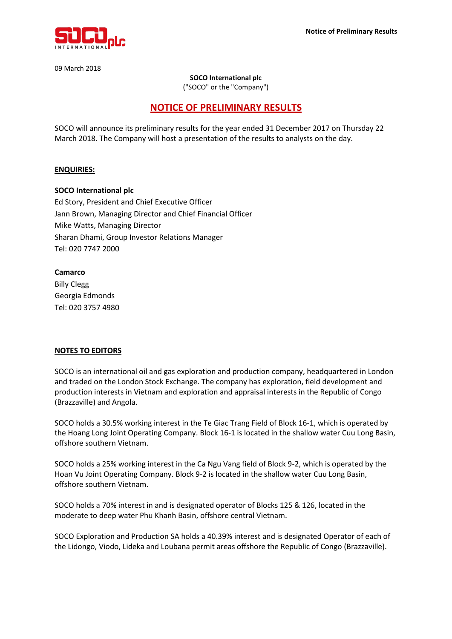

09 March 2018

#### **SOCO International plc**

("SOCO" or the "Company")

# **NOTICE OF PRELIMINARY RESULTS**

SOCO will announce its preliminary results for the year ended 31 December 2017 on Thursday 22 March 2018. The Company will host a presentation of the results to analysts on the day.

## **ENQUIRIES:**

#### **SOCO International plc**

Ed Story, President and Chief Executive Officer Jann Brown, Managing Director and Chief Financial Officer Mike Watts, Managing Director Sharan Dhami, Group Investor Relations Manager Tel: 020 7747 2000

## **Camarco**

Billy Clegg Georgia Edmonds Tel: 020 3757 4980

# **NOTES TO EDITORS**

SOCO is an international oil and gas exploration and production company, headquartered in London and traded on the London Stock Exchange. The company has exploration, field development and production interests in Vietnam and exploration and appraisal interests in the Republic of Congo (Brazzaville) and Angola.

SOCO holds a 30.5% working interest in the Te Giac Trang Field of Block 16-1, which is operated by the Hoang Long Joint Operating Company. Block 16-1 is located in the shallow water Cuu Long Basin, offshore southern Vietnam.

SOCO holds a 25% working interest in the Ca Ngu Vang field of Block 9-2, which is operated by the Hoan Vu Joint Operating Company. Block 9-2 is located in the shallow water Cuu Long Basin, offshore southern Vietnam.

SOCO holds a 70% interest in and is designated operator of Blocks 125 & 126, located in the moderate to deep water Phu Khanh Basin, offshore central Vietnam.

SOCO Exploration and Production SA holds a 40.39% interest and is designated Operator of each of the Lidongo, Viodo, Lideka and Loubana permit areas offshore the Republic of Congo (Brazzaville).